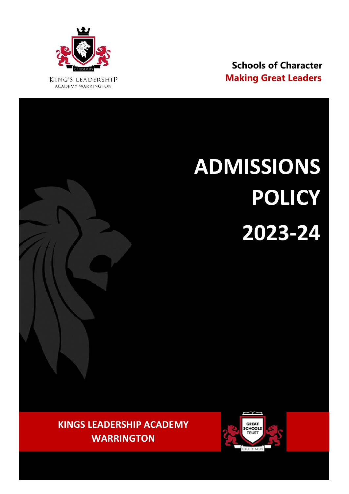

 **Schools of Character**

# **ADMISSIONS POLICY 2023-24**

**KINGS LEADERSHIP ACADEMY WARRINGTON**

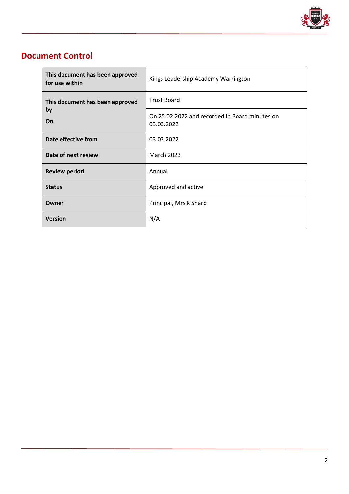

## **Document Control**

| This document has been approved<br>for use within | Kings Leadership Academy Warrington                          |
|---------------------------------------------------|--------------------------------------------------------------|
| This document has been approved<br>by<br>On       | <b>Trust Board</b>                                           |
|                                                   | On 25.02.2022 and recorded in Board minutes on<br>03.03.2022 |
| Date effective from                               | 03.03.2022                                                   |
| Date of next review                               | <b>March 2023</b>                                            |
| <b>Review period</b>                              | Annual                                                       |
| <b>Status</b>                                     | Approved and active                                          |
| Owner                                             | Principal, Mrs K Sharp                                       |
| <b>Version</b>                                    | N/A                                                          |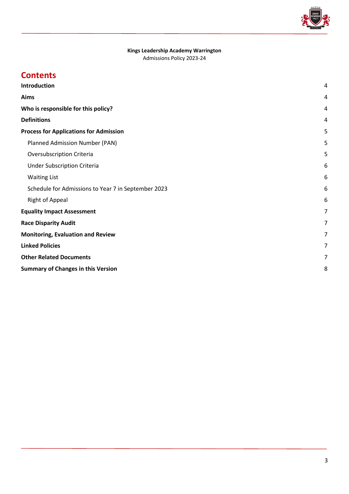

# **Kings Leadership Academy Warrington**

Admissions Policy 2023-24

# **Contents**

| Introduction                                        | 4 |
|-----------------------------------------------------|---|
| Aims                                                | 4 |
| Who is responsible for this policy?                 | 4 |
| <b>Definitions</b>                                  | 4 |
| <b>Process for Applications for Admission</b>       | 5 |
| Planned Admission Number (PAN)                      | 5 |
| Oversubscription Criteria                           | 5 |
| <b>Under Subscription Criteria</b>                  | 6 |
| <b>Waiting List</b>                                 | 6 |
| Schedule for Admissions to Year 7 in September 2023 | 6 |
| <b>Right of Appeal</b>                              | 6 |
| <b>Equality Impact Assessment</b>                   | 7 |
| <b>Race Disparity Audit</b>                         | 7 |
| <b>Monitoring, Evaluation and Review</b>            | 7 |
| <b>Linked Policies</b>                              | 7 |
| <b>Other Related Documents</b>                      | 7 |
| <b>Summary of Changes in this Version</b>           |   |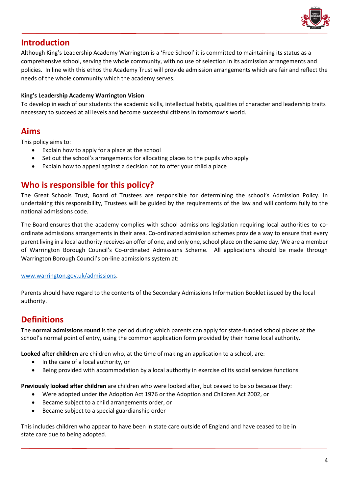

## <span id="page-3-0"></span>**Introduction**

Although King's Leadership Academy Warrington is a 'Free School' it is committed to maintaining its status as a comprehensive school, serving the whole community, with no use of selection in its admission arrangements and policies. In line with this ethos the Academy Trust will provide admission arrangements which are fair and reflect the needs of the whole community which the academy serves.

#### **King's Leadership Academy Warrington Vision**

To develop in each of our students the academic skills, intellectual habits, qualities of character and leadership traits necessary to succeed at all levels and become successful citizens in tomorrow's world.

## <span id="page-3-1"></span>**Aims**

This policy aims to:

- Explain how to apply for a place at the school
- Set out the school's arrangements for allocating places to the pupils who apply
- Explain how to appeal against a decision not to offer your child a place

## <span id="page-3-2"></span>**Who is responsible for this policy?**

The Great Schools Trust, Board of Trustees are responsible for determining the school's Admission Policy. In undertaking this responsibility, Trustees will be guided by the requirements of the law and will conform fully to the national admissions code.

The Board ensures that the academy complies with school admissions legislation requiring local authorities to coordinate admissions arrangements in their area. Co-ordinated admission schemes provide a way to ensure that every parent living in a local authority receives an offer of one, and only one, school place on the same day. We are a member of Warrington Borough Council's Co-ordinated Admissions Scheme. All applications should be made through Warrington Borough Council's on-line admissions system at:

#### [www.warrington.gov.uk/admissions.](http://www.warrington.gov.uk/admissions)

Parents should have regard to the contents of the Secondary Admissions Information Booklet issued by the local authority.

## <span id="page-3-3"></span>**Definitions**

The **normal admissions round** is the period during which parents can apply for state-funded school places at the school's normal point of entry, using the common application form provided by their home local authority.

**Looked after children** are children who, at the time of making an application to a school, are:

- In the care of a local authority, or
- Being provided with accommodation by a local authority in exercise of its social services functions

**Previously looked after children** are children who were looked after, but ceased to be so because they:

- Were adopted under the Adoption Act 1976 or the Adoption and Children Act 2002, or
- Became subject to a child arrangements order, or
- Became subject to a special guardianship order

This includes children who appear to have been in state care outside of England and have ceased to be in state care due to being adopted.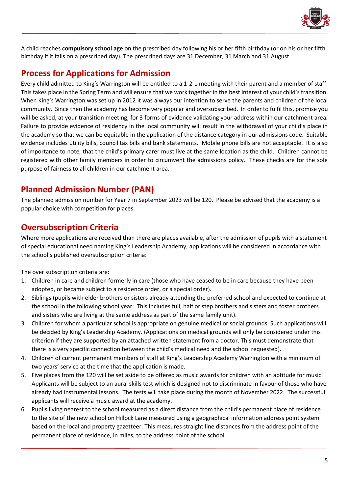

A child reaches **compulsory school age** on the prescribed day following his or her fifth birthday (or on his or her fifth birthday if it falls on a prescribed day). The prescribed days are 31 December, 31 March and 31 August.

## <span id="page-4-0"></span>**Process for Applications for Admission**

Every child admitted to King's Warrington will be entitled to a 1-2-1 meeting with their parent and a member of staff. This takes place in the Spring Term and will ensure that we work together in the best interest of your child's transition. When King's Warrington was set up in 2012 it was always our intention to serve the parents and children of the local community. Since then the academy has become very popular and oversubscribed. In order to fulfil this, promise you will be asked, at your transition meeting, for 3 forms of evidence validating your address within our catchment area. Failure to provide evidence of residency in the local community will result in the withdrawal of your child's place in the academy so that we can be equitable in the application of the distance category in our admissions code. Suitable evidence includes utility bills, council tax bills and bank statements. Mobile phone bills are not acceptable. It is also of importance to note, that the child's primary carer must live at the same location as the child. Children cannot be registered with other family members in order to circumvent the admissions policy. These checks are for the sole purpose of fairness to all children in our catchment area.

# <span id="page-4-1"></span>**Planned Admission Number (PAN)**

The planned admission number for Year 7 in September 2023 will be 120. Please be advised that the academy is a popular choice with competition for places.

## <span id="page-4-2"></span>**Oversubscription Criteria**

Where more applications are received than there are places available, after the admission of pupils with a statement of special educational need naming King's Leadership Academy, applications will be considered in accordance with the school's published oversubscription criteria:

The over subscription criteria are:

- 1. Children in care and children formerly in care (those who have ceased to be in care because they have been adopted, or became subject to a residence order, or a special order).
- 2. Siblings (pupils with elder brothers or sisters already attending the preferred school and expected to continue at the school in the following school year. This includes full, half or step brothers and sisters and foster brothers and sisters who are living at the same address as part of the same family unit).
- 3. Children for whom a particular school is appropriate on genuine medical or social grounds. Such applications will be decided by King's Leadership Academy. (Applications on medical grounds will only be considered under this criterion if they are supported by an attached written statement from a doctor. This must demonstrate that there is a very specific connection between the child's medical need and the school requested).
- 4. Children of current permanent members of staff at King's Leadership Academy Warrington with a minimum of two years' service at the time that the application is made.
- 5. Five places from the 120 will be set aside to be offered as music awards for children with an aptitude for music. Applicants will be subject to an aural skills test which is designed not to discriminate in favour of those who have already had instrumental lessons. The tests will take place during the month of November 2022. The successful applicants will receive a music award at the academy.
- 6. Pupils living nearest to the school measured as a direct distance from the child's permanent place of residence to the site of the new school on Hillock Lane measured using a geographical information address point system based on the local and property gazetteer. This measures straight line distances from the address point of the permanent place of residence, in miles, to the address point of the school.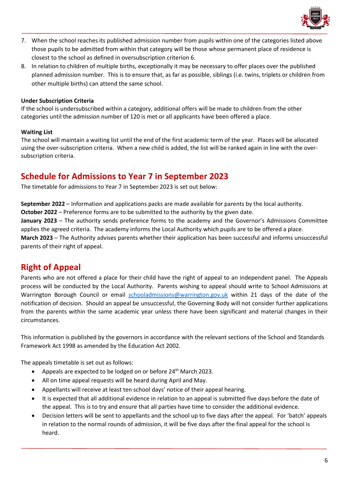

- 7. When the school reaches its published admission number from pupils within one of the categories listed above those pupils to be admitted from within that category will be those whose permanent place of residence is closest to the school as defined in oversubscription criterion 6.
- 8. In relation to children of multiple births, exceptionally it may be necessary to offer places over the published planned admission number. This is to ensure that, as far as possible, siblings (i.e. twins, triplets or children from other multiple births) can attend the same school.

#### <span id="page-5-0"></span>**Under Subscription Criteria**

If the school is undersubscribed within a category, additional offers will be made to children from the other categories until the admission number of 120 is met or all applicants have been offered a place.

#### <span id="page-5-1"></span>**Waiting List**

The school will maintain a waiting list until the end of the first academic term of the year. Places will be allocated using the over-subscription criteria. When a new child is added, the list will be ranked again in line with the oversubscription criteria.

## <span id="page-5-2"></span>**Schedule for Admissions to Year 7 in September 2023**

The timetable for admissions to Year 7 in September 2023 is set out below:

**September 2022** – Information and applications packs are made available for parents by the local authority. **October 2022** – Preference forms are to be submitted to the authority by the given date.

**January 2023** – The authority sends preference forms to the academy and the Governor's Admissions Committee applies the agreed criteria. The academy informs the Local Authority which pupils are to be offered a place. **March 2023** – The Authority advises parents whether their application has been successful and informs unsuccessful parents of their right of appeal.

## <span id="page-5-3"></span>**Right of Appeal**

Parents who are not offered a place for their child have the right of appeal to an independent panel. The Appeals process will be conducted by the Local Authority. Parents wishing to appeal should write to School Admissions at Warrington Borough Council or email [schooladmissions@warrington.gov.uk](mailto:schooladmissions@warrington.gov.uk) within 21 days of the date of the notification of decision. Should an appeal be unsuccessful, the Governing Body will not consider further applications from the parents within the same academic year unless there have been significant and material changes in their circumstances.

This information is published by the governors in accordance with the relevant sections of the School and Standards Framework Act 1998 as amended by the Education Act 2002.

The appeals timetable is set out as follows:

- Appeals are expected to be lodged on or before 24<sup>th</sup> March 2023.
- All on time appeal requests will be heard during April and May.
- Appellants will receive at least ten school days' notice of their appeal hearing.
- It is expected that all additional evidence in relation to an appeal is submitted five days before the date of the appeal. This is to try and ensure that all parties have time to consider the additional evidence.
- Decision letters will be sent to appellants and the school up to five days after the appeal. For 'batch' appeals in relation to the normal rounds of admission, it will be five days after the final appeal for the school is heard.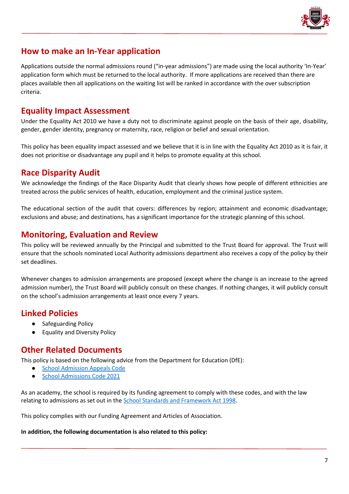

## **How to make an In-Year application**

Applications outside the normal admissions round ("in-year admissions") are made using the local authority 'In-Year' application form which must be returned to the local authority. If more applications are received than there are places available then all applications on the waiting list will be ranked in accordance with the over subscription criteria.

## <span id="page-6-0"></span>**Equality Impact Assessment**

Under the Equality Act 2010 we have a duty not to discriminate against people on the basis of their age, disability, gender, gender identity, pregnancy or maternity, race, religion or belief and sexual orientation.

This policy has been equality impact assessed and we believe that it is in line with the Equality Act 2010 as it is fair, it does not prioritise or disadvantage any pupil and it helps to promote equality at this school.

## <span id="page-6-1"></span>**Race Disparity Audit**

We acknowledge the findings of the Race Disparity Audit that clearly shows how people of different ethnicities are treated across the public services of health, education, employment and the criminal justice system.

The educational section of the audit that covers: differences by region; attainment and economic disadvantage; exclusions and abuse; and destinations, has a significant importance for the strategic planning of this school.

## <span id="page-6-2"></span>**Monitoring, Evaluation and Review**

This policy will be reviewed annually by the Principal and submitted to the Trust Board for approval. The Trust will ensure that the schools nominated Local Authority admissions department also receives a copy of the policy by their set deadlines.

Whenever changes to admission arrangements are proposed (except where the change is an increase to the agreed admission number), the Trust Board will publicly consult on these changes. If nothing changes, it will publicly consult on the school's admission arrangements at least once every 7 years.

## <span id="page-6-3"></span>**Linked Policies**

- Safeguarding Policy
- **Equality and Diversity Policy**

## <span id="page-6-4"></span>**Other Related Documents**

This policy is based on the following advice from the Department for Education (DfE):

- [School Admission Appeals Code](https://www.gov.uk/government/publications/school-admissions-appeals-code)
- [School Admissions Code 2021](https://www.gov.uk/government/publications/school-admissions-code--2)

As an academy, the school is required by its funding agreement to comply with these codes, and with the law relating to admissions as set out in th[e School Standards and Framework Act 1998.](http://www.legislation.gov.uk/ukpga/1998/31/contents)

This policy complies with our Funding Agreement and Articles of Association.

#### **In addition, the following documentation is also related to this policy:**